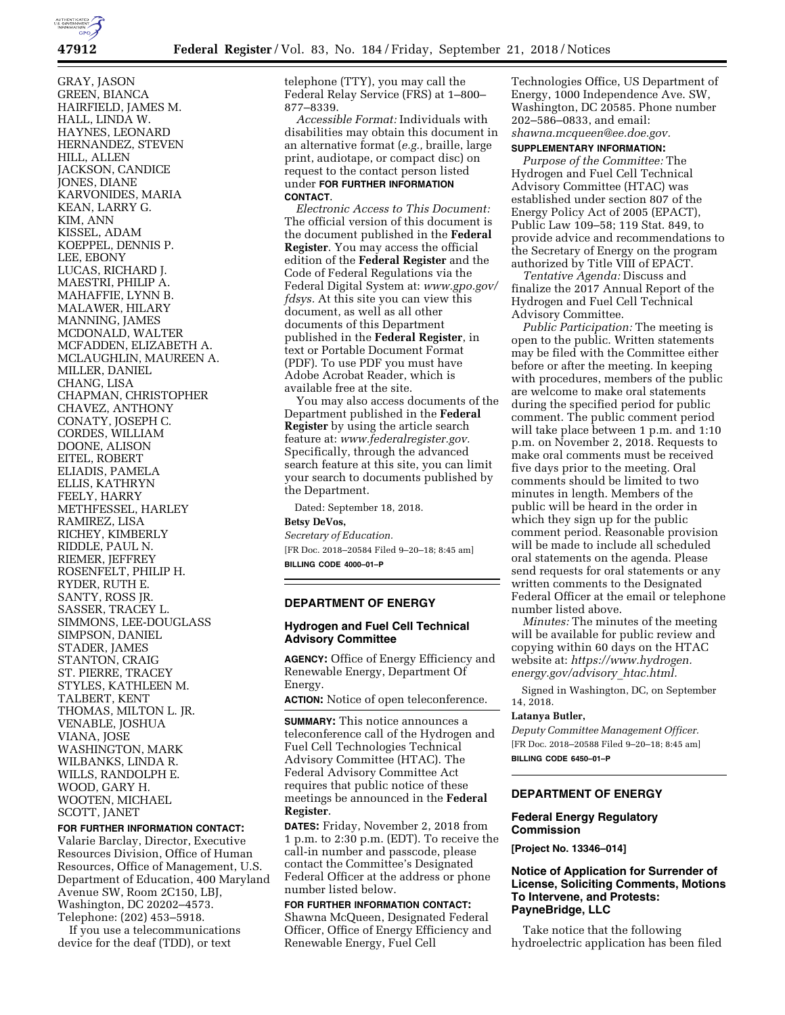

GRAY, JASON GREEN, BIANCA HAIRFIELD, JAMES M. HALL, LINDA W. HAYNES, LEONARD HERNANDEZ, STEVEN HILL, ALLEN JACKSON, CANDICE JONES, DIANE KARVONIDES, MARIA KEAN, LARRY G. KIM, ANN KISSEL, ADAM KOEPPEL, DENNIS P. LEE, EBONY LUCAS, RICHARD J. MAESTRI, PHILIP A. MAHAFFIE, LYNN B. MALAWER, HILARY MANNING, JAMES MCDONALD, WALTER MCFADDEN, ELIZABETH A. MCLAUGHLIN, MAUREEN A. MILLER, DANIEL CHANG, LISA CHAPMAN, CHRISTOPHER CHAVEZ, ANTHONY CONATY, JOSEPH C. CORDES, WILLIAM DOONE, ALISON EITEL, ROBERT ELIADIS, PAMELA ELLIS, KATHRYN FEELY, HARRY METHFESSEL, HARLEY RAMIREZ, LISA RICHEY, KIMBERLY RIDDLE, PAUL N. RIEMER, JEFFREY ROSENFELT, PHILIP H. RYDER, RUTH E. SANTY, ROSS JR. SASSER, TRACEY L. SIMMONS, LEE-DOUGLASS SIMPSON, DANIEL STADER, JAMES STANTON, CRAIG ST. PIERRE, TRACEY STYLES, KATHLEEN M. TALBERT, KENT THOMAS, MILTON L. JR. VENABLE, JOSHUA VIANA, JOSE WASHINGTON, MARK WILBANKS, LINDA R. WILLS, RANDOLPH E. WOOD, GARY H. WOOTEN, MICHAEL SCOTT, JANET

#### **FOR FURTHER INFORMATION CONTACT:**

Valarie Barclay, Director, Executive Resources Division, Office of Human Resources, Office of Management, U.S. Department of Education, 400 Maryland Avenue SW, Room 2C150, LBJ, Washington, DC 20202–4573. Telephone: (202) 453–5918.

If you use a telecommunications device for the deaf (TDD), or text

telephone (TTY), you may call the Federal Relay Service (FRS) at 1–800– 877–8339.

*Accessible Format:* Individuals with disabilities may obtain this document in an alternative format (*e.g.,* braille, large print, audiotape, or compact disc) on request to the contact person listed under **FOR FURTHER INFORMATION CONTACT**.

*Electronic Access to This Document:*  The official version of this document is the document published in the **Federal Register**. You may access the official edition of the **Federal Register** and the Code of Federal Regulations via the Federal Digital System at: *[www.gpo.gov/](http://www.gpo.gov/fdsys)  [fdsys.](http://www.gpo.gov/fdsys)* At this site you can view this document, as well as all other documents of this Department published in the **Federal Register**, in text or Portable Document Format (PDF). To use PDF you must have Adobe Acrobat Reader, which is available free at the site.

You may also access documents of the Department published in the **Federal Register** by using the article search feature at: *[www.federalregister.gov.](http://www.federalregister.gov)*  Specifically, through the advanced search feature at this site, you can limit your search to documents published by the Department.

Dated: September 18, 2018.

# **Betsy DeVos,**

*Secretary of Education.*  [FR Doc. 2018–20584 Filed 9–20–18; 8:45 am] **BILLING CODE 4000–01–P** 

# **DEPARTMENT OF ENERGY**

## **Hydrogen and Fuel Cell Technical Advisory Committee**

**AGENCY:** Office of Energy Efficiency and Renewable Energy, Department Of Energy.

**ACTION:** Notice of open teleconference.

**SUMMARY:** This notice announces a teleconference call of the Hydrogen and Fuel Cell Technologies Technical Advisory Committee (HTAC). The Federal Advisory Committee Act requires that public notice of these meetings be announced in the **Federal Register**.

**DATES:** Friday, November 2, 2018 from 1 p.m. to 2:30 p.m. (EDT). To receive the call-in number and passcode, please contact the Committee's Designated Federal Officer at the address or phone number listed below.

#### **FOR FURTHER INFORMATION CONTACT:**

Shawna McQueen, Designated Federal Officer, Office of Energy Efficiency and Renewable Energy, Fuel Cell

Technologies Office, US Department of Energy, 1000 Independence Ave. SW, Washington, DC 20585. Phone number 202–586–0833, and email: *[shawna.mcqueen@ee.doe.gov.](mailto:shawna.mcqueen@ee.doe.gov)* 

#### **SUPPLEMENTARY INFORMATION:**

*Purpose of the Committee:* The Hydrogen and Fuel Cell Technical Advisory Committee (HTAC) was established under section 807 of the Energy Policy Act of 2005 (EPACT), Public Law 109–58; 119 Stat. 849, to provide advice and recommendations to the Secretary of Energy on the program authorized by Title VIII of EPACT.

*Tentative Agenda:* Discuss and finalize the 2017 Annual Report of the Hydrogen and Fuel Cell Technical Advisory Committee.

*Public Participation:* The meeting is open to the public. Written statements may be filed with the Committee either before or after the meeting. In keeping with procedures, members of the public are welcome to make oral statements during the specified period for public comment. The public comment period will take place between 1 p.m. and 1:10 p.m. on November 2, 2018. Requests to make oral comments must be received five days prior to the meeting. Oral comments should be limited to two minutes in length. Members of the public will be heard in the order in which they sign up for the public comment period. Reasonable provision will be made to include all scheduled oral statements on the agenda. Please send requests for oral statements or any written comments to the Designated Federal Officer at the email or telephone number listed above.

*Minutes:* The minutes of the meeting will be available for public review and copying within 60 days on the HTAC website at: *[https://www.hydrogen.](https://www.hydrogen.energy.gov/advisory_htac.html) [energy.gov/advisory](https://www.hydrogen.energy.gov/advisory_htac.html)*\_*htac.html.* 

Signed in Washington, DC, on September 14, 2018.

#### **Latanya Butler,**

*Deputy Committee Management Officer.*  [FR Doc. 2018–20588 Filed 9–20–18; 8:45 am] **BILLING CODE 6450–01–P** 

### **DEPARTMENT OF ENERGY**

### **Federal Energy Regulatory Commission**

**[Project No. 13346–014]** 

### **Notice of Application for Surrender of License, Soliciting Comments, Motions To Intervene, and Protests: PayneBridge, LLC**

Take notice that the following hydroelectric application has been filed